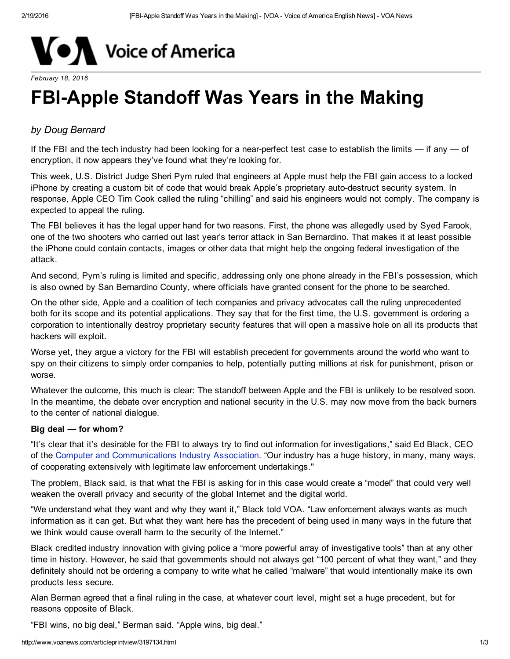

#### *February 18, 2016*

# **FBI-Apple Standoff Was Years in the Making**

## *by Doug Bernard*

If the FBI and the tech industry had been looking for a near-perfect test case to establish the limits  $-$  if any  $-$  of encryption, it now appears they've found what they're looking for.

This week, U.S. District Judge Sheri Pym ruled that engineers at Apple must help the FBI gain access to a locked iPhone by creating a custom bit of code that would break Apple's proprietary auto-destruct security system. In response, Apple CEO Tim Cook called the ruling "chilling" and said his engineers would not comply. The company is expected to appeal the ruling.

The FBI believes it has the legal upper hand for two reasons. First, the phone was allegedly used by Syed Farook, one of the two shooters who carried out last year's terror attack in San Bernardino. That makes it at least possible the iPhone could contain contacts, images or other data that might help the ongoing federal investigation of the attack.

And second, Pym's ruling is limited and specific, addressing only one phone already in the FBI's possession, which is also owned by San Bernardino County, where officials have granted consent for the phone to be searched.

On the other side, Apple and a coalition of tech companies and privacy advocates call the ruling unprecedented both for its scope and its potential applications. They say that for the first time, the U.S. government is ordering a corporation to intentionally destroy proprietary security features that will open a massive hole on all its products that hackers will exploit.

Worse yet, they argue a victory for the FBI will establish precedent for governments around the world who want to spy on their citizens to simply order companies to help, potentially putting millions at risk for punishment, prison or worse.

Whatever the outcome, this much is clear: The standoff between Apple and the FBI is unlikely to be resolved soon. In the meantime, the debate over encryption and national security in the U.S. may now move from the back burners to the center of national dialogue.

#### Big deal — for whom?

"It's clear that it's desirable for the FBI to always try to find out information for investigations," said Ed Black, CEO of the Computer and [Communications](http://www.ccianet.org/) Industry Association. "Our industry has a huge history, in many, many ways, of cooperating extensively with legitimate law enforcement undertakings."

The problem, Black said, is that what the FBI is asking for in this case would create a "model" that could very well weaken the overall privacy and security of the global Internet and the digital world.

"We understand what they want and why they want it," Black told VOA. "Law enforcement always wants as much information as it can get. But what they want here has the precedent of being used in many ways in the future that we think would cause overall harm to the security of the Internet."

Black credited industry innovation with giving police a "more powerful array of investigative tools" than at any other time in history. However, he said that governments should not always get "100 percent of what they want," and they definitely should not be ordering a company to write what he called "malware" that would intentionally make its own products less secure.

Alan Berman agreed that a final ruling in the case, at whatever court level, might set a huge precedent, but for reasons opposite of Black.

"FBI wins, no big deal," Berman said. "Apple wins, big deal."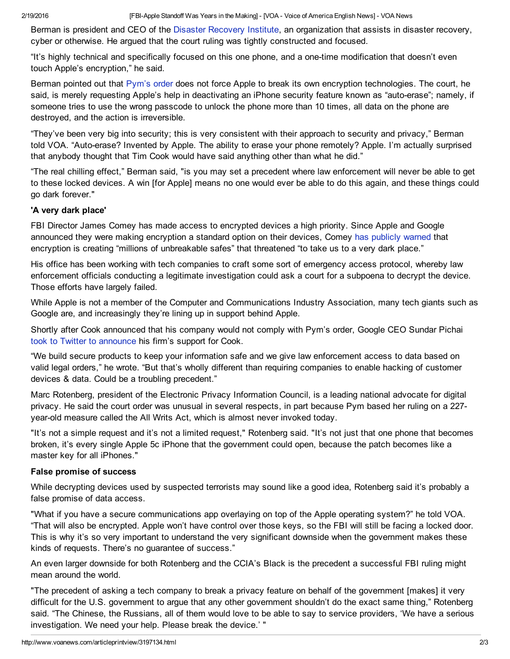Berman is president and CEO of the Disaster [Recovery](https://www.drii.org/) Institute, an organization that assists in disaster recovery, cyber or otherwise. He argued that the court ruling was tightly constructed and focused.

"It's highly technical and specifically focused on this one phone, and a one-time modification that doesn't even touch Apple's encryption," he said.

Berman pointed out that [Pym's](http://www.wired.com/wp-content/uploads/2016/02/SB-shooter-MOTION-seeking-asst-iPhone.pdf) order does not force Apple to break its own encryption technologies. The court, he said, is merely requesting Apple's help in deactivating an iPhone security feature known as "auto-erase"; namely, if someone tries to use the wrong passcode to unlock the phone more than 10 times, all data on the phone are destroyed, and the action is irreversible.

"They've been very big into security; this is very consistent with their approach to security and privacy," Berman told VOA. "Auto-erase? Invented by Apple. The ability to erase your phone remotely? Apple. I'm actually surprised that anybody thought that Tim Cook would have said anything other than what he did."

"The real chilling effect," Berman said, "is you may set a precedent where law enforcement will never be able to get to these locked devices. A win [for Apple] means no one would ever be able to do this again, and these things could go dark forever."

### 'A very dark place'

FBI Director James Comey has made access to encrypted devices a high priority. Since Apple and Google announced they were making encryption a standard option on their devices, Comey has [publicly](http://www.voanews.com/content/apple-fbi-high-tech-privacy/2486274.html) warned that encryption is creating "millions of unbreakable safes" that threatened "to take us to a very dark place."

His office has been working with tech companies to craft some sort of emergency access protocol, whereby law enforcement officials conducting a legitimate investigation could ask a court for a subpoena to decrypt the device. Those efforts have largely failed.

While Apple is not a member of the Computer and Communications Industry Association, many tech giants such as Google are, and increasingly they're lining up in support behind Apple.

Shortly after Cook announced that his company would not comply with Pym's order, Google CEO Sundar Pichai took to Twitter to [announce](https://twitter.com/sundarpichai/status/700104433183502336) his firm's support for Cook.

"We build secure products to keep your information safe and we give law enforcement access to data based on valid legal orders," he wrote. "But that's wholly different than requiring companies to enable hacking of customer devices & data. Could be a troubling precedent."

Marc Rotenberg, president of the Electronic Privacy Information Council, is a leading national advocate for digital privacy. He said the court order was unusual in several respects, in part because Pym based her ruling on a 227 year-old measure called the All Writs Act, which is almost never invoked today.

"It's not a simple request and it's not a limited request," Rotenberg said. "It's not just that one phone that becomes broken, it's every single Apple 5c iPhone that the government could open, because the patch becomes like a master key for all iPhones."

### False promise of success

While decrypting devices used by suspected terrorists may sound like a good idea, Rotenberg said it's probably a false promise of data access.

"What if you have a secure communications app overlaying on top of the Apple operating system?" he told VOA. "That will also be encrypted. Apple won't have control over those keys, so the FBI will still be facing a locked door. This is why it's so very important to understand the very significant downside when the government makes these kinds of requests. There's no guarantee of success."

An even larger downside for both Rotenberg and the CCIA's Black is the precedent a successful FBI ruling might mean around the world.

"The precedent of asking a tech company to break a privacy feature on behalf of the government [makes] it very difficult for the U.S. government to argue that any other government shouldn't do the exact same thing," Rotenberg said. "The Chinese, the Russians, all of them would love to be able to say to service providers, 'We have a serious investigation. We need your help. Please break the device.' "